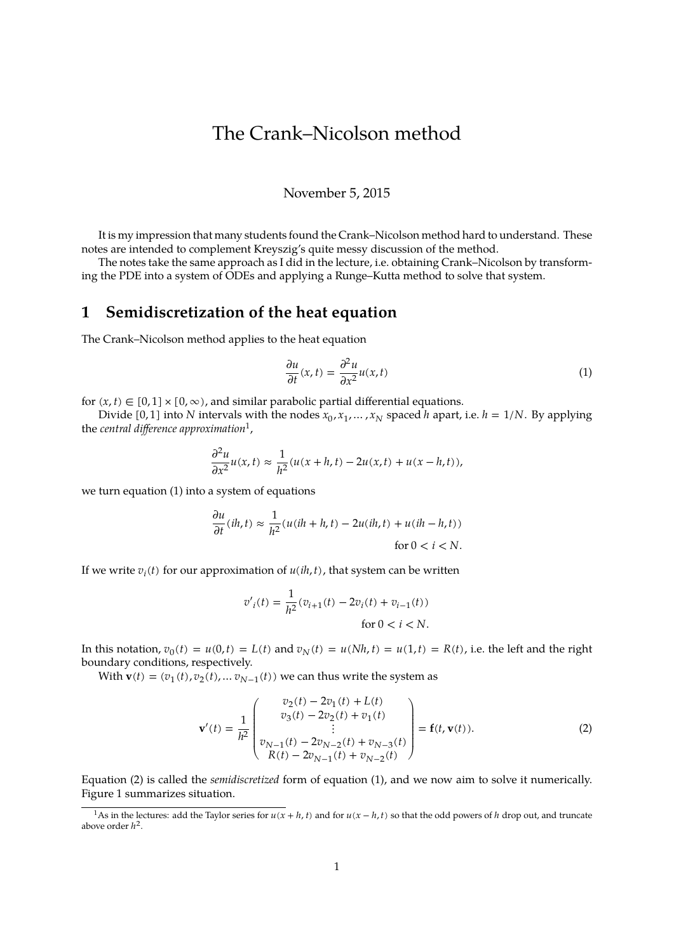# The Crank–Nicolson method

#### November 5, 2015

It is my impression that many students found the Crank–Nicolson method hard to understand. These notes are intended to complement Kreyszig's quite messy discussion of the method.

The notes take the same approach as I did in the lecture, i.e. obtaining Crank–Nicolson by transforming the PDE into a system of ODEs and applying a Runge–Kutta method to solve that system.

## **1 Semidiscretization of the heat equation**

The Crank–Nicolson method applies to the heat equation

<span id="page-0-1"></span>
$$
\frac{\partial u}{\partial t}(x,t) = \frac{\partial^2 u}{\partial x^2} u(x,t)
$$
\n(1)

for  $(x, t) \in [0, 1] \times [0, \infty)$ , and similar parabolic partial differential equations.

Divide [0, 1] into N intervals with the nodes  $x_0, x_1, ..., x_N$  spaced h apart, i.e.  $h = 1/N$ . By applying the *central difference approximation*[1](#page-0-0) ,

$$
\frac{\partial^2 u}{\partial x^2}u(x,t) \approx \frac{1}{h^2}(u(x+h,t) - 2u(x,t) + u(x-h,t)),
$$

we turn equation [\(1\)](#page-0-1) into a system of equations

$$
\frac{\partial u}{\partial t}(ih, t) \approx \frac{1}{h^2}(u(ih + h, t) - 2u(ih, t) + u(ih - h, t))
$$
  
for  $0 < i < N$ .

If we write  $v_i(t)$  for our approximation of  $u(ih, t)$ , that system can be written

$$
v'_{i}(t) = \frac{1}{h^{2}}(v_{i+1}(t) - 2v_{i}(t) + v_{i-1}(t))
$$
  
for  $0 < i < N$ .

In this notation,  $v_0(t) = u(0,t) = L(t)$  and  $v_N(t) = u(Nh, t) = u(1,t) = R(t)$ , i.e. the left and the right boundary conditions, respectively.

With **v**(*t*) =  $(v_1(t), v_2(t), \ldots v_{N-1}(t))$  we can thus write the system as

<span id="page-0-2"></span>
$$
\mathbf{v}'(t) = \frac{1}{h^2} \begin{pmatrix} v_2(t) - 2v_1(t) + L(t) \\ v_3(t) - 2v_2(t) + v_1(t) \\ \vdots \\ v_{N-1}(t) - 2v_{N-2}(t) + v_{N-3}(t) \\ R(t) - 2v_{N-1}(t) + v_{N-2}(t) \end{pmatrix} = \mathbf{f}(t, \mathbf{v}(t)).
$$
 (2)

Equation [\(2\)](#page-0-2) is called the *semidiscretized* form of equation [\(1\)](#page-0-1), and we now aim to solve it numerically. Figure [1](#page-1-0) summarizes situation.

<span id="page-0-0"></span><sup>&</sup>lt;sup>1</sup>As in the lectures: add the Taylor series for  $u(x + h, t)$  and for  $u(x - h, t)$  so that the odd powers of h drop out, and truncate above order  $h^2$ .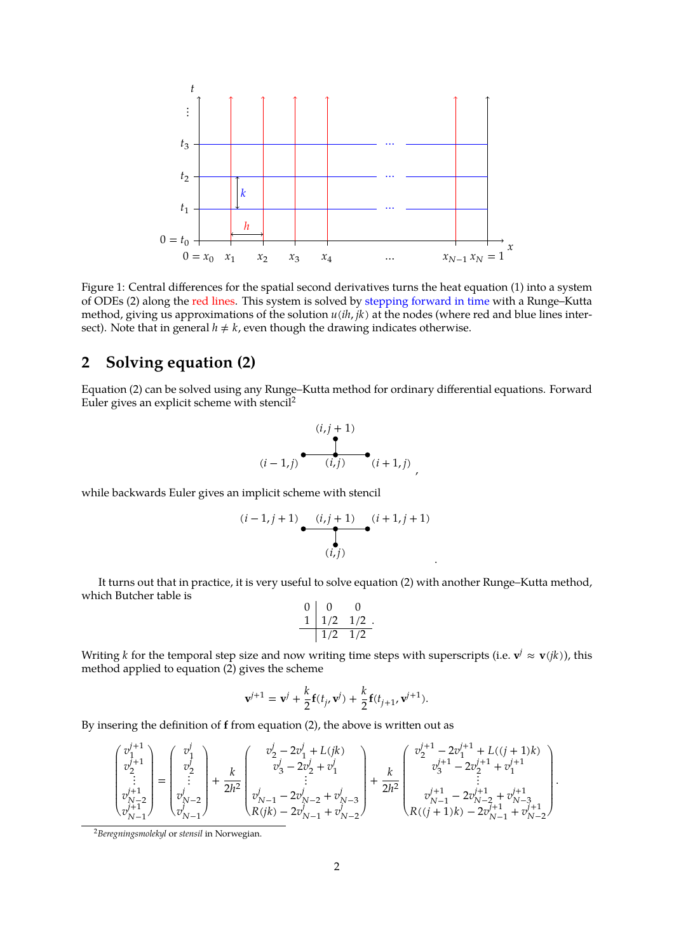

<span id="page-1-0"></span>Figure 1: Central differences for the spatial second derivatives turns the heat equation [\(1\)](#page-0-1) into a system of ODEs [\(2\)](#page-0-2) along the red lines. This system is solved by stepping forward in time with a Runge–Kutta method, giving us approximations of the solution  $u(ih, jk)$  at the nodes (where red and blue lines intersect). Note that in general  $h \neq k$ , even though the drawing indicates otherwise.

## **2 Solving equation [\(2\)](#page-0-2)**

Equation [\(2\)](#page-0-2) can be solved using any Runge–Kutta method for ordinary differential equations. Forward Euler gives an explicit scheme with stencil[2](#page-1-1)

$$
(i, j+1)
$$
  
\n
$$
(i-1, j)
$$
\n
$$
(i, j)
$$
\n
$$
(i+1, j)
$$

,

.

while backwards Euler gives an implicit scheme with stencil

$$
(i-1,j+1)
$$
\n
$$
(i,j+1)
$$
\n
$$
(i+1,j+1)
$$
\n
$$
(i,j)
$$

It turns out that in practice, it is very useful to solve equation [\(2\)](#page-0-2) with another Runge–Kutta method, which Butcher table is

$$
\begin{array}{c|cc} 0 & 0 & 0 \\ \hline 1 & 1/2 & 1/2 \\ \hline & 1/2 & 1/2 \end{array}.
$$

Writing *k* for the temporal step size and now writing time steps with superscripts (i.e.  $\mathbf{v}^j \approx \mathbf{v}(jk)$ ), this method applied to equation [\(2\)](#page-0-2) gives the scheme

$$
\mathbf{v}^{j+1} = \mathbf{v}^j + \frac{k}{2} \mathbf{f}(t_j, \mathbf{v}^j) + \frac{k}{2} \mathbf{f}(t_{j+1}, \mathbf{v}^{j+1}).
$$

By insering the definition of **f** from equation [\(2\)](#page-0-2), the above is written out as

$$
\begin{pmatrix} v_1^{j+1} \\ v_2^{j+1} \\ \vdots \\ v_{N-2}^{j+1} \\ v_{N-1}^{j+1} \end{pmatrix} = \begin{pmatrix} v_1^j \\ v_2^j \\ \vdots \\ v_{N-2}^j \\ v_{N-1}^j \end{pmatrix} + \frac{k}{2h^2} \begin{pmatrix} v_2^j - 2v_1^j + L(jk) \\ v_3^j - 2v_2^j + v_1^j \\ \vdots \\ v_{N-1}^j - 2v_{N-2}^j + v_{N-3}^j \\ R(jk) - 2v_{N-1}^j + v_{N-2}^j \end{pmatrix} + \frac{k}{2h^2} \begin{pmatrix} v_2^{j+1} - 2v_1^{j+1} + L((j+1)k) \\ v_3^{j+1} - 2v_2^{j+1} + v_1^{j+1} \\ \vdots \\ v_{N-1}^{j+1} - 2v_{N-2}^{j+1} + v_{N-3}^{j+1} \\ R((j+1)k) - 2v_{N-1}^{j+1} + v_{N-2}^{j+1} \end{pmatrix}.
$$

<span id="page-1-1"></span><sup>2</sup>*Beregningsmolekyl* or *stensil* in Norwegian.